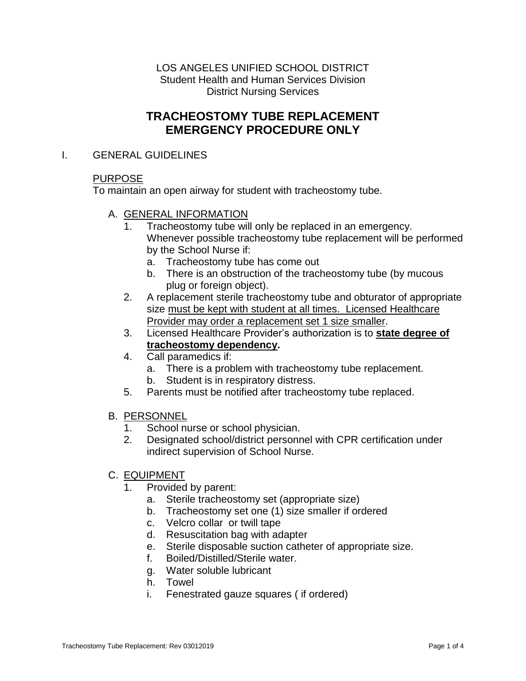LOS ANGELES UNIFIED SCHOOL DISTRICT Student Health and Human Services Division District Nursing Services

# **TRACHEOSTOMY TUBE REPLACEMENT EMERGENCY PROCEDURE ONLY**

## I. GENERAL GUIDELINES

# PURPOSE

To maintain an open airway for student with tracheostomy tube.

- A. GENERAL INFORMATION
	- 1. Tracheostomy tube will only be replaced in an emergency. Whenever possible tracheostomy tube replacement will be performed by the School Nurse if:
		- a. Tracheostomy tube has come out
		- b. There is an obstruction of the tracheostomy tube (by mucous plug or foreign object).
	- 2. A replacement sterile tracheostomy tube and obturator of appropriate size must be kept with student at all times. Licensed Healthcare Provider may order a replacement set 1 size smaller.
	- 3. Licensed Healthcare Provider's authorization is to **state degree of tracheostomy dependency.**
	- 4. Call paramedics if:
		- a. There is a problem with tracheostomy tube replacement.
		- b. Student is in respiratory distress.
	- 5. Parents must be notified after tracheostomy tube replaced.
- B. PERSONNEL
	- 1. School nurse or school physician.
	- 2. Designated school/district personnel with CPR certification under indirect supervision of School Nurse.
- C. EQUIPMENT
	- 1. Provided by parent:
		- a. Sterile tracheostomy set (appropriate size)
		- b. Tracheostomy set one (1) size smaller if ordered
		- c. Velcro collar or twill tape
		- d. Resuscitation bag with adapter
		- e. Sterile disposable suction catheter of appropriate size.
		- f. Boiled/Distilled/Sterile water.
		- g. Water soluble lubricant
		- h. Towel
		- i. Fenestrated gauze squares ( if ordered)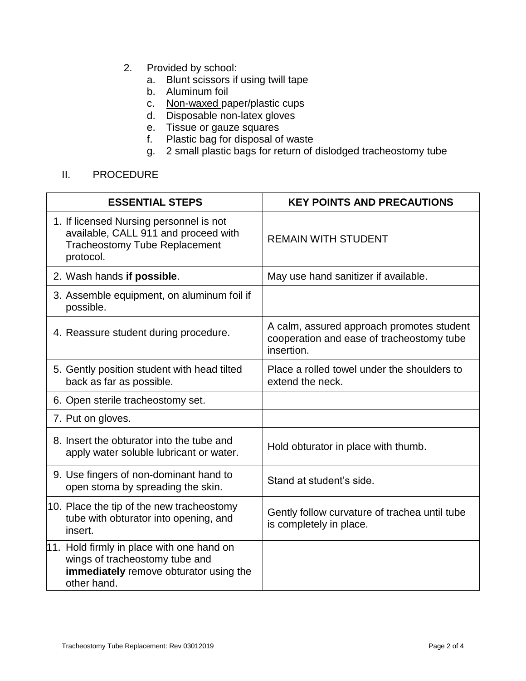- 2. Provided by school:
	- a. Blunt scissors if using twill tape
	- b. Aluminum foil
	- c. Non-waxed paper/plastic cups
	- d. Disposable non-latex gloves
	- e. Tissue or gauze squares
	- f. Plastic bag for disposal of waste
	- g. 2 small plastic bags for return of dislodged tracheostomy tube

# II. PROCEDURE

| <b>ESSENTIAL STEPS</b>                                                                                                               | <b>KEY POINTS AND PRECAUTIONS</b>                                                                    |
|--------------------------------------------------------------------------------------------------------------------------------------|------------------------------------------------------------------------------------------------------|
| 1. If licensed Nursing personnel is not<br>available, CALL 911 and proceed with<br><b>Tracheostomy Tube Replacement</b><br>protocol. | <b>REMAIN WITH STUDENT</b>                                                                           |
| 2. Wash hands if possible.                                                                                                           | May use hand sanitizer if available.                                                                 |
| 3. Assemble equipment, on aluminum foil if<br>possible.                                                                              |                                                                                                      |
| 4. Reassure student during procedure.                                                                                                | A calm, assured approach promotes student<br>cooperation and ease of tracheostomy tube<br>insertion. |
| 5. Gently position student with head tilted<br>back as far as possible.                                                              | Place a rolled towel under the shoulders to<br>extend the neck.                                      |
| 6. Open sterile tracheostomy set.                                                                                                    |                                                                                                      |
| 7. Put on gloves.                                                                                                                    |                                                                                                      |
| 8. Insert the obturator into the tube and<br>apply water soluble lubricant or water.                                                 | Hold obturator in place with thumb.                                                                  |
| 9. Use fingers of non-dominant hand to<br>open stoma by spreading the skin.                                                          | Stand at student's side.                                                                             |
| 10. Place the tip of the new tracheostomy<br>tube with obturator into opening, and<br>insert.                                        | Gently follow curvature of trachea until tube<br>is completely in place.                             |
| 11. Hold firmly in place with one hand on<br>wings of tracheostomy tube and<br>immediately remove obturator using the<br>other hand. |                                                                                                      |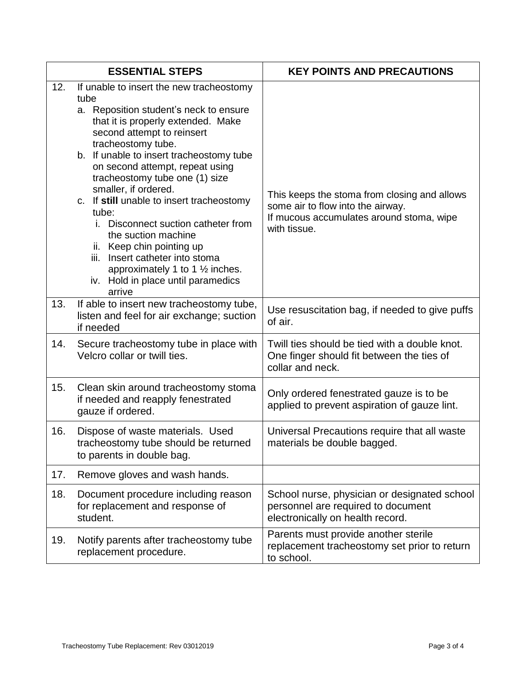|     | <b>ESSENTIAL STEPS</b>                                                                                                                                                                                                                                                                                                                                                                                                                                                                                                                                                                                                | <b>KEY POINTS AND PRECAUTIONS</b>                                                                                                             |
|-----|-----------------------------------------------------------------------------------------------------------------------------------------------------------------------------------------------------------------------------------------------------------------------------------------------------------------------------------------------------------------------------------------------------------------------------------------------------------------------------------------------------------------------------------------------------------------------------------------------------------------------|-----------------------------------------------------------------------------------------------------------------------------------------------|
| 12. | If unable to insert the new tracheostomy<br>tube<br>a. Reposition student's neck to ensure<br>that it is properly extended. Make<br>second attempt to reinsert<br>tracheostomy tube.<br>b. If unable to insert tracheostomy tube<br>on second attempt, repeat using<br>tracheostomy tube one (1) size<br>smaller, if ordered.<br>c. If still unable to insert tracheostomy<br>tube:<br>Disconnect suction catheter from<br>İ.<br>the suction machine<br>ii. Keep chin pointing up<br>Insert catheter into stoma<br>iii.<br>approximately 1 to 1 $\frac{1}{2}$ inches.<br>iv. Hold in place until paramedics<br>arrive | This keeps the stoma from closing and allows<br>some air to flow into the airway.<br>If mucous accumulates around stoma, wipe<br>with tissue. |
| 13. | If able to insert new tracheostomy tube,<br>listen and feel for air exchange; suction<br>if needed                                                                                                                                                                                                                                                                                                                                                                                                                                                                                                                    | Use resuscitation bag, if needed to give puffs<br>of air.                                                                                     |
| 14. | Secure tracheostomy tube in place with<br>Velcro collar or twill ties.                                                                                                                                                                                                                                                                                                                                                                                                                                                                                                                                                | Twill ties should be tied with a double knot.<br>One finger should fit between the ties of<br>collar and neck.                                |
| 15. | Clean skin around tracheostomy stoma<br>if needed and reapply fenestrated<br>gauze if ordered.                                                                                                                                                                                                                                                                                                                                                                                                                                                                                                                        | Only ordered fenestrated gauze is to be<br>applied to prevent aspiration of gauze lint.                                                       |
| 16. | Dispose of waste materials. Used<br>tracheostomy tube should be returned<br>to parents in double bag.                                                                                                                                                                                                                                                                                                                                                                                                                                                                                                                 | Universal Precautions require that all waste<br>materials be double bagged.                                                                   |
| 17. | Remove gloves and wash hands.                                                                                                                                                                                                                                                                                                                                                                                                                                                                                                                                                                                         |                                                                                                                                               |
| 18. | Document procedure including reason<br>for replacement and response of<br>student.                                                                                                                                                                                                                                                                                                                                                                                                                                                                                                                                    | School nurse, physician or designated school<br>personnel are required to document<br>electronically on health record.                        |
| 19. | Notify parents after tracheostomy tube<br>replacement procedure.                                                                                                                                                                                                                                                                                                                                                                                                                                                                                                                                                      | Parents must provide another sterile<br>replacement tracheostomy set prior to return<br>to school.                                            |